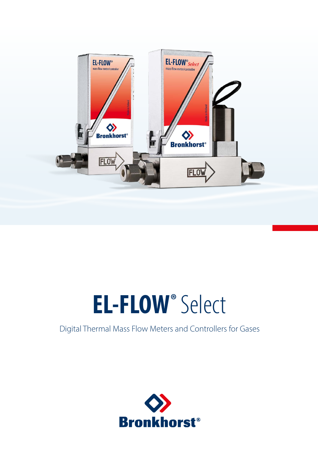

# **EL-FLOW®** Select

# Digital Thermal Mass Flow Meters and Controllers for Gases

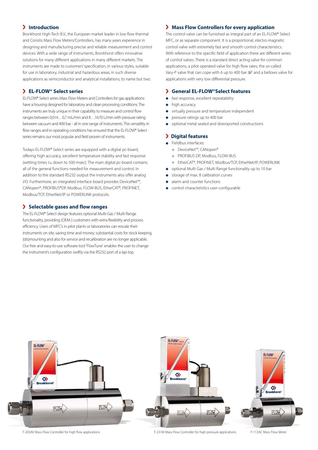# **Introduction**

Bronkhorst High-Tech B.V., the European market leader in low flow thermal and Coriolis Mass Flow Meters/Controllers, has many years experience in designing and manufacturing precise and reliable measurement and control devices. With a wide range of instruments, Bronkhorst offers innovative solutions for many different applications in many different markets. The instruments are made to customers' specification, in various styles, suitable for use in laboratory, industrial and hazardous areas, in such diverse applications as semiconductor and analytical installations, to name but two.

# **EL-FLOW® Select series**

EL-FLOW® Select series Mass Flow Meters and Controllers for gas applications have a housing designed for laboratory and clean processing conditions. The instruments are truly unique in their capability to measure and control flow ranges between 0,014...0,7 ml<sub>n</sub>/min and 8...1670 l<sub>n</sub>/min with pressure rating between vacuum and 400 bar - all in one range of instruments. This versatility in flow ranges and in operating conditions has ensured that the EL-FLOW® Select series remains our most popular and field proven of instruments.

Todays EL-FLOW® Select series are equipped with a digital pc-board, offering high accuracy, excellent temperature stability and fast response (settling times τ98 down to 500 msec). The main digital pc-board contains all of the general functions needed for measurement and control. In addition to the standard RS232 output the instruments also offer analog I/O. Furthermore, an integrated interface board provides DeviceNet™, CANopen®, PROFIBUS®DP, Modbus, FLOW-BUS, EtherCAT®, PROFINET, Modbus/TCP, EtherNet/IP or POWERLINK protocols.

# **Selectable gases and flow ranges**

The EL-FLOW® Select design features optional Multi-Gas / Multi Range functionality, providing (OEM-) customers with extra flexibility and process efficiency. Users of MFC's in pilot plants or laboratories can rescale their instruments on site, saving time and money; substantial costs for stock keeping, (dis)mounting and also for service and recalibration are no longer applicable. Our free and easy-to-use software tool 'FlowTune' enables the user to change the instrument's configuration swiftly via the RS232 port of a lap-top.

# **Mass Flow Controllers for every application**

The control valve can be furnished as integral part of an EL-FLOW® Select MFC, or as separate component. It is a proportional, electro-magnetic control valve with extremely fast and smooth control characteristics. With reference to the specific field of application there are different series of control valves. There is a standard direct acting valve for common applications, a pilot operated valve for high flow rates, the so-called Vary-P valve that can cope with 6 up to 400 bar ΔP and a bellows valve for applications with very low differential pressure.

## **General EL-FLOW®Select features**

- fast response, excellent repeatability
- high accuracy
- virtually pressure and temperature independent
- pressure ratings up to 400 bar
- optional metal sealed and downported constructions

# **Digital features**

- ◆ Fieldbus interfaces:
	- DeviceNet™, CANopen®
	- ◆ PROFIBUS DP, Modbus, FLOW-BUS
	- FtherCAT®, PROFINET, Modbus/TCP, FtherNet/IP, POWERLINK
- optional Multi Gas / Multi Range functionality up to 10 bar
- storage of max. 8 calibration curves
- alarm and counter functions
- control characteristics user-configurable



F-203AV Mass Flow Controller for high flow applications Face of the Controller for high pressure applications F-112AC Mass Flow Meter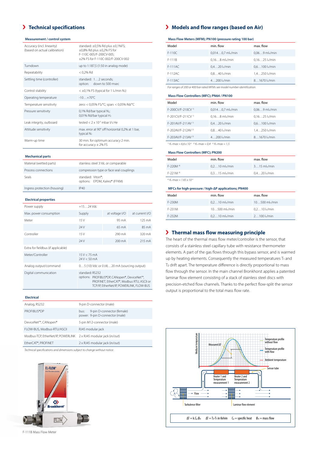# **Technical specifications**

### **Measurement / control system**

| Accuracy (incl. linearity)<br>(based on actual calibration) | standard: $\pm 0.5\%$ Rd plus $\pm 0.1\%$ FS;<br>$\pm 0.8\%$ Rd plus $\pm 0.2\%$ FS for<br>F-110C-005/F-200CV-005;<br>+2% FS for F-110C-002/F-200CV-002 |
|-------------------------------------------------------------|---------------------------------------------------------------------------------------------------------------------------------------------------------|
| Turndown                                                    | up to 1:187,5 (1:50 in analog mode)                                                                                                                     |
| Repeatability                                               | $< 0.2%$ Rd                                                                                                                                             |
| Settling time (controller)                                  | standard: 12 seconds;<br>option: down to 500 msec                                                                                                       |
| Control stability                                           | $< \pm 0.1\%$ FS (typical for 1 l <sub>n</sub> /min N <sub>2</sub> )                                                                                    |
| Operating temperature                                       | $-10.7 + 70^{\circ}$ C                                                                                                                                  |
| Temperature sensitivity                                     | zero: < 0,05% FS/°C; span: < 0,05% Rd/°C                                                                                                                |
| Pressure sensitivity                                        | 0,1% Rd/bar typical N <sub>2</sub> ;<br>0,01% Rd/bar typical H <sub>2</sub>                                                                             |
| Leak integrity, outboard                                    | tested $< 2 \times 10-9$ mbar I/s He                                                                                                                    |
| Attitude sensitivity                                        | max. error at 90° off horizontal 0,2% at 1 bar,<br>typical N <sub>2</sub>                                                                               |
| Warm-up time                                                | 30 min. for optimum accuracy 2 min.<br>for accuracy $\pm$ 2% FS                                                                                         |

### **Mechanical parts**

| Material (wetted parts)      | stainless steel 316L or comparable                 |
|------------------------------|----------------------------------------------------|
| Process connections          | compression type or face seal couplings            |
| Seals                        | standard: Viton®;<br>options: EPDM, Kalrez® (FFKM) |
| Ingress protection (housing) | IP40                                               |

### **Electrical properties**

| Power supply                       | $+1524$ Vdc                                                                                                                                             |                  |                  |  |  |  |  |
|------------------------------------|---------------------------------------------------------------------------------------------------------------------------------------------------------|------------------|------------------|--|--|--|--|
| Max. power consumption             | Supply                                                                                                                                                  | at voltage I/O   | at current I/O   |  |  |  |  |
| Meter                              | 15V                                                                                                                                                     | 95 mA            | 125 mA           |  |  |  |  |
|                                    | 24 V                                                                                                                                                    | 65 mA            | 85 mA            |  |  |  |  |
| Controller                         | 15V                                                                                                                                                     | 290 mA           | 320 mA           |  |  |  |  |
|                                    | 24V                                                                                                                                                     | $200 \text{ mA}$ | $215 \text{ mA}$ |  |  |  |  |
| Extra for fieldbus (if applicable) |                                                                                                                                                         |                  |                  |  |  |  |  |
| Meter/Controller                   | 15V < 75mA<br>$24V < 50 \text{ mA}$                                                                                                                     |                  |                  |  |  |  |  |
| Analog output/command              | $05(10)$ Vdc or $0(4)20$ mA (sourcing output)                                                                                                           |                  |                  |  |  |  |  |
| Digital communication              | standard: RS232<br>options: PROFIBUS®DP, CANopen®, DeviceNet™,<br>PROFINET, EtherCAT®, Modbus RTU, ASCII or<br>TCP/IP, EtherNet/IP, POWERLINK, FLOW-BUS |                  |                  |  |  |  |  |

### **Electrical**

| Analog, RS232                      | 9-pin D-connector (male)                                              |
|------------------------------------|-----------------------------------------------------------------------|
| PROFIBUS®DP                        | 9-pin D-connector (female)<br>bus:<br>power: 9-pin D-connector (male) |
| DeviceNet™, CANopen®               | 5-pin M12-connector (male)                                            |
| FLOW-BUS, Modbus-RTU/ASCII         | RJ45 modular jack                                                     |
| Modbus-TCP, EtherNet/IP, POWERLINK | 2 x RJ45 modular jack (in/out)                                        |
| EtherCAT®, PROFINET                | 2 x RJ45 modular jack (in/out)                                        |
|                                    |                                                                       |

*Technical specifications and dimensions subject to change without notice.* 



F-111B Mass Flow Meter

# **Models and flow ranges (based on Air)**

| Mass Flow Meters (MFM); PN100 (pressure rating 100 bar) |                               |                              |  |  |  |  |  |  |
|---------------------------------------------------------|-------------------------------|------------------------------|--|--|--|--|--|--|
| Model                                                   | min. flow                     | max. flow                    |  |  |  |  |  |  |
| $F-110C$                                                | 0,0140,7 ml <sub>n</sub> /min | $0,069$ ml <sub>n</sub> /min |  |  |  |  |  |  |
| $F-111B$                                                | $0.168$ ml <sub>n</sub> /min  | $0.1625$ l <sub>n</sub> /min |  |  |  |  |  |  |
| $F-111AC$                                               | $0.420$ l <sub>n</sub> /min   | $0,6100$ l <sub>n</sub> /min |  |  |  |  |  |  |
| $F-112AC$                                               | $0.840$ ln/min                | 1,4250 l <sub>n</sub> /min   |  |  |  |  |  |  |
| $F-113AC$                                               | $4200$ l <sub>2</sub> /min    | 81670 l <sub>n</sub> /min    |  |  |  |  |  |  |

*For ranges of 200 or 400 bar rated MFMs see model number identification.*

### **Mass Flow Controllers (MFC); PN64 / PN100**

| Model                         | min. flow                     | max. flow                    |
|-------------------------------|-------------------------------|------------------------------|
| F-200CV/F-210CV <sup>1)</sup> | 0,0140,7 ml <sub>n</sub> /min | $0,069$ ml <sub>n</sub> /min |
| F-201CV/F-211CV <sup>1)</sup> | $0.168$ ml $\frac{1}{2}$ min  | $0.1625$ l <sub>n</sub> /min |
| F-201AV/F-211AV <sup>1)</sup> | 0,420 ln/min                  | $0,6100$ l <sub>n</sub> /min |
| F-202AV/F-212AV <sup>2)</sup> | $0.840$ ln/min                | 1,4250 l <sub>n</sub> /min   |
| F-203AV/F-213AV 3)            | 4200 l <sub>n</sub> /min      | $81670$ l $\sqrt{mn}$        |
|                               |                               |                              |

<sup>1)</sup> K<sub>v</sub>-max = 6,6 x 10<sup>-2</sup> <sup>2)</sup> K<sub>v</sub>-max = 0,4 <sup>3)</sup> K<sub>v</sub>-max = 1,5

### **Mass Flow Controllers (MFC); PN200**

| Model                  | min. flow                    | max. flow                   |
|------------------------|------------------------------|-----------------------------|
| $F-220M$ <sup>4)</sup> | $0.210$ ml <sub>n</sub> /min | $315$ ml $\frac{1}{2}$ min  |
| $F-221M$ <sup>4)</sup> | $0.315$ ml $\frac{1}{2}$ min | $0.420$ l <sub>n</sub> /min |

*4) Kv-max = 1.65 x 10-3*

### **MFCs for high-pressure / high-ΔP applications; PN400**

| Model  | min. flow                    | max. flow                    |
|--------|------------------------------|------------------------------|
| F-230M | $0.210$ ml <sub>n</sub> /min | $10500$ ml <sub>n</sub> /min |
| F-231M | $10500$ ml $\frac{1}{2}$ min | $0.210$ ln/min               |
| F-232M | $0.210$ ml $/m$ in           | $2100$ l <sub>2</sub> /min   |

# **Thermal mass flow measuring principle**

The heart of the thermal mass flow meter/controller is the sensor, that consists of a stainless steel capillary tube with resistance thermometer elements. A part of the gas flows through this bypass sensor, and is warmed up by heating elements. Consequently the measured temperatures T<sub>1</sub> and T2 drift apart. The temperature difference is directly proportional to mass flow through the sensor. In the main channel Bronkhorst applies a patented laminar flow element consisting of a stack of stainless steel discs with precision-etched flow channels. Thanks to the perfect flow-split the sensor output is proportional to the total mass flow rate.

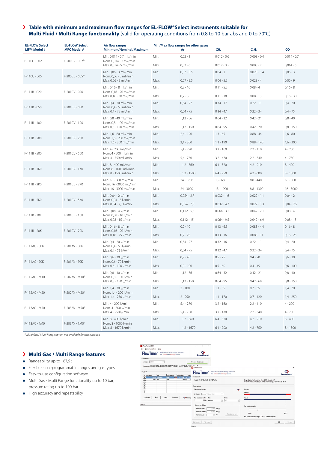# **Table with minimum and maximum flow ranges for EL-FLOW®Select instruments suitable for Multi Fluid / Multi Range functionality** (valid for operating conditions from 0.8 to 10 bar abs and 0 to 70°C)

| <b>EL-FLOW Select</b> | <b>EL-FLOW Select</b><br><b>MFC Model #</b> | Air flow ranges                                                              |              | Min/Max flow ranges for other gases |                               |                                |                           |
|-----------------------|---------------------------------------------|------------------------------------------------------------------------------|--------------|-------------------------------------|-------------------------------|--------------------------------|---------------------------|
| <b>MFM Model #</b>    |                                             | Minimum/Nominal/Maximum                                                      |              | Ar                                  | CH <sub>4</sub>               | C <sub>2</sub> H <sub>6</sub>  | CO                        |
| $F-110C - 002$        | $F-200CV - 0021$                            | Min. 0,014 - 0,7 ml <sub>n</sub> /min<br>Nom. 0,014 - 2 ml <sub>n</sub> /min | Min.         | $0,02 - 1$                          | $0,012 - 0,6$                 | $0,008 - 0,4$                  | $0,014 - 0,7$             |
|                       |                                             | Max. 0,014 - 5 ml <sub>n</sub> /min                                          | Max.         | $0,02 - 6$                          | $0,012 - 3,5$                 | $0,008 - 2$                    | $0,014 - 5$               |
| $F-110C - 005$        | $F-200CV - 0051$                            | Min. 0,06 - 3 ml <sub>n</sub> /min<br>Nom. 0,06 - 5 ml <sub>n</sub> /min     | Min.         | $0,07 - 3.5$                        | $0,04 - 2$                    | $0,028 - 1,4$                  | $0,06 - 3$                |
|                       |                                             | Max. 0,06 - 9 ml <sub>n</sub> /min                                           | Max.         | $0,07 - 9.5$                        | $0,04 - 5,5$                  | $0,028 - 4$                    | $0,06 - 9$                |
| F-111B - 020          | F-201CV - 020                               | Min. 0,16 - 8 ml <sub>n</sub> /min<br>Nom. 0,16 - 20 ml <sub>n</sub> /min    | Min.         | $0,2 - 10$                          | $0,11 - 5,5$                  | $0,08 - 4$                     | $0,16 - 8$                |
|                       |                                             | Max. 0,16 - 30 ml-/min                                                       | Max.         | $0,2 - 30$                          | $0,11 - 18$                   | $0,08 - 13$                    | $0,16 - 30$               |
| $F-111B - 050$        | F-201CV - 050                               | Min. 0,4 - 20 ml <sub>n</sub> /min<br>Nom. 0,4 - 50 ml <sub>n</sub> /min     | Min.         | $0,54 - 27$                         | $0,34 - 17$                   | $0,22 - 11$                    | $0,4 - 20$                |
|                       |                                             | Max. 0,4 - 75 ml <sub>n</sub> /min                                           | Max.         | $0,54 - 75$                         | $0,34 - 47$                   | $0,22 - 34$                    | $0,4 - 75$                |
|                       |                                             | Min. 0,8 - 40 ml <sub>n</sub> /min                                           | Min.         | $1,12 - 56$                         | $0,64 - 32$                   | $0,42 - 21$                    | $0,8 - 40$                |
| $F-111B-100$          | F-201CV - 100                               | Nom. 0,8 - 100 ml <sub>n</sub> /min<br>Max. 0,8 - 150 ml <sub>n</sub> /min   | Max.         | 1,12 - 150                          | $0,64 - 95$                   | $0,42 - 70$                    | $0,8 - 150$               |
|                       |                                             | Min. 1,6 - 80 ml <sub>n</sub> /min                                           | Min.         | $2,4 - 120$                         | $1,3 - 65$                    | $0,88 - 44$                    | $1,6 - 80$                |
| F-111B - 200          | F-201CV - 200                               | Nom. 1,6 - 200 ml <sub>n</sub> /min<br>Max. 1,6 - 300 ml <sub>n</sub> /min   | Max.         | $2,4 - 300$                         | $1,3 - 190$                   | $0,88 - 140$                   | $1,6 - 300$               |
|                       |                                             | Min. 4 - 200 ml <sub>n</sub> /min                                            | Min.         | $5,4 - 270$                         | $3,2 - 160$                   | $2,2 - 110$                    | $4 - 200$                 |
| $F-111B - 500$        | F-201CV - 500                               | Nom. 4 - 500 ml <sub>n</sub> /min<br>Max. 4 - 750 ml <sub>n</sub> /min       | Max.         | $5,4 - 750$                         | $3,2 - 470$                   | $2,2 - 340$                    | $4 - 750$                 |
|                       |                                             | Min. 8 - 400 ml <sub>n</sub> /min                                            | Min.         | $11,2 - 560$                        | $6,4 - 320$                   | $4,2 - 210$                    | $8 - 400$                 |
| F-111B - 1KO          | F-201CV - 1K0                               | Nom. 8 - 1000 ml <sub>n</sub> /min<br>Max. 8 - 1500 ml <sub>n</sub> /min     | Max.         | $11,2 - 1500$                       | $6,4 - 950$                   | $4,2 - 680$                    | $8 - 1500$                |
|                       |                                             | Min. 16 - 800 ml <sub>n</sub> /min                                           | Min.         | 24 - 1200                           | $13 - 650$                    | $8,8 - 440$                    | $16 - 800$                |
| F-111B - 2KO          | F-201CV - 2K0                               | Nom. 16 - 2000 ml <sub>n</sub> /min<br>Max. 16 - 3000 mln/min                | Max.         | 24 - 3000                           | $13 - 1900$                   | $8,8 - 1300$                   | $16 - 3000$               |
|                       |                                             | Min. 0,04 - 2 l <sub>n</sub> /min                                            | Min.         | $0,054 - 2,7$                       | $0,032 - 1,6$                 | $0,022 - 1,1$                  | $0,04 - 2$                |
| F-111B - 5KO          | F-201CV - 5K0                               | Nom. 0,04 - 5 ln/min<br>Max. 0,04 - 7,5 l <sub>n</sub> /min                  | Max.         | $0,054 - 7,5$                       | $0,032 - 4,7$                 | $0,022 - 3,3$                  | $0,04 - 7,5$              |
|                       |                                             | Min. 0,08 - 4 l <sub>n</sub> /min                                            | Min.         | $0,112 - 5,6$                       | $0,064 - 3,2$                 | $0,042 - 2,1$                  | $0,08 - 4$                |
| F-111B - 10K          | F-201CV - 10K                               | Nom. 0,08 - 10 ln/min                                                        |              |                                     |                               |                                |                           |
|                       |                                             | Max. 0,08 - 15 l <sub>n</sub> /min                                           | Max.<br>Min. | $0,112 - 15$<br>$0,2 - 10$          | $0,064 - 9,5$<br>$0,13 - 6,5$ | $0,042 - 6,9$<br>$0,088 - 4,4$ | $0,08 - 15$<br>$0,16 - 8$ |
| F-111B - 20K          | F-201CV - 20K                               | Min. 0,16 - 8 l <sub>n</sub> /min<br>Nom. 0,16 - 20 ln/min                   |              |                                     |                               |                                |                           |
|                       |                                             | Max. 0,16 - 25 l <sub>n</sub> /min                                           | Max.         | $0,2 - 25$                          | $0,13 - 16$                   | $0,088 - 11$                   | $0,16 - 25$               |
| F-111AC - 50K         | F-201AV - 50K                               | Min. 0,4 - 20 l <sub>n</sub> /min<br>Nom. 0,4 - 50 ln/min                    | Min.         | $0,54 - 27$                         | $0,32 - 16$                   | $0.22 - 11$                    | $0,4 - 20$                |
|                       |                                             | Max. 0,4 - 75 l <sub>n</sub> /min                                            | Max.         | $0,54 - 75$                         | $0,32 - 47$                   | $0,22 - 34$                    | $0,4 - 75$                |
| F-111AC - 70K         | F-201AV - 70K                               | Min. 0,6 - 30 l <sub>n</sub> /min<br>Nom. 0,6 - 70 ln/min                    | Min.         | $0,9 - 45$                          | $0,5 - 25$                    | $0,4 - 20$                     | $0,6 - 30$                |
|                       |                                             | Max. 0,6 - 100 l <sub>n</sub> /min                                           | Max.         | $0.9 - 100$                         | $0,5 - 60$                    | $0.4 - 45$                     | $0,6 - 100$               |
| F-112AC - M10         | F-202AV - M10 <sup>1)</sup>                 | Min. 0,8 - 40 l <sub>n</sub> /min<br>Nom. 0,8 - 100 ln/min                   | Min.         | $1,12 - 56$                         | $0,64 - 32$                   | $0,42 - 21$                    | $0,8 - 40$                |
|                       |                                             | Max. 0,8 - 150 l <sub>n</sub> /min                                           | Max.         | 1,12 - 150                          | $0,64 - 95$                   | $0,42 - 68$                    | $0,8 - 150$               |
| F-112AC - M20         | F-202AV - M20 <sup>1)</sup>                 | Min. 1,4 - 70 l <sub>n</sub> /min<br>Nom. 1,4 - 200 l <sub>n</sub> /min      | Min.         | $2 - 100$                           | $1,1 - 55$                    | $0,7 - 35$                     | $1,4 - 70$                |
|                       |                                             | Max. 1,4 - 250 l <sub>n</sub> /min                                           | Max.         | $2 - 250$                           | $1,1 - 170$                   | $0,7 - 120$                    | $1,4 - 250$               |
|                       |                                             | Min. 4 - 200 l <sub>n</sub> /min                                             | Min.         | $5,4 - 270$                         | $3,2 - 160$                   | $2,2 - 110$                    | $4 - 200$                 |
| F-113AC - M50         | F-203AV - M50 <sup>1)</sup>                 | Nom. 4 - 500 l <sub>n</sub> /min<br>Max. 4 - 750 l <sub>n</sub> /min         | Max.         | 5,4 - 750                           | $3,2 - 470$                   | $2,2 - 340$                    | $4 - 750$                 |
|                       |                                             | Min. 8 - 400 l <sub>n</sub> /min                                             | Min.         | $11,2 - 560$                        | $6,4 - 320$                   | $4,2 - 210$                    | $8 - 400$                 |
| F-113AC - 1M0         | F-203AV - 1M0 <sup>1)</sup>                 | Nom. 8 - 1000 l <sub>n</sub> /min<br>Max. 8 - 1670 ln/min                    | Max.         | $11,2 - 1670$                       | $6,4 - 900$                   | $4,2 - 750$                    | $8 - 1500$                |

*1) Multi Gas / Multi Range option not available for these models*

# **Multi Gas / Multi Range features**

- Rangeability up to  $187,5:1$
- Flexible, user-programmable ranges and gas types
- Easy-to-use configuration software
- Multi Gas / Multi Range functionality up to 10 bar; pressure rating up to 100 bar
- $\blacklozenge$  High accuracy and repeatability

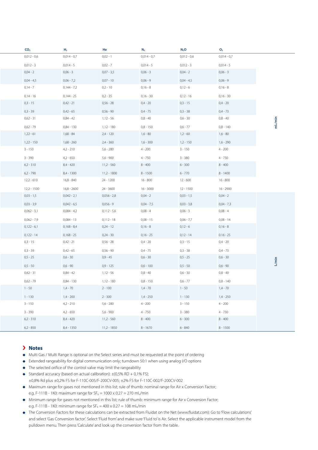| CO <sub>2</sub> | H <sub>2</sub>            | He                       | $N_2$                     | $N_2O$                   | O <sub>2</sub>           |  |
|-----------------|---------------------------|--------------------------|---------------------------|--------------------------|--------------------------|--|
| $0,012 - 0,6$   | $0,014 - 0,7$             | $0,02 - 1$               | $0,014 - 0,7$             | $0,012 - 0,6$            | $0,014 - 0,7$            |  |
|                 |                           |                          |                           |                          |                          |  |
| $0,012 - 3$     | $0,014 - 5$               | $0,02 - 7$               | $0,014 - 5$               | $0,012 - 3$              | $0,014 - 5$              |  |
| $0,04 - 2$      | $0,06 - 3$                | $0,07 - 3,5$             | $0,06 - 3$                | $0,04 - 2$               | $0,06 - 3$               |  |
| $0,04 - 4,5$    | $0,06 - 7,2$              | $0,07 - 10$              | $0,06 - 9$                | $0,04 - 4,5$             | $0,06 - 9$               |  |
| $0,14 - 7$      | $0,144 - 7,2$             | $0,2 - 10$               | $0,16 - 8$                | $0,12 - 6$               | $0,16 - 8$               |  |
| $0,14 - 16$     | $0,144 - 25$              | $0,2 - 35$               | $0,16 - 30$               | $0,12 - 16$              | $0,16 - 30$              |  |
| $0,3 - 15$      | $0,42 - 21$               | $0,56 - 28$              | $0,4 - 20$                | $0,3 - 15$               | $0,4 - 20$               |  |
| $0,3 - 39$      | $0,42 - 65$               | $0,56 - 90$              | $0,4 - 75$                | $0,3 - 38$               | $0,4 - 73$               |  |
| $0,62 - 31$     | $0,84 - 42$               | $1,12 - 56$              | $0,8 - 40$                | $0,6 - 30$               | $0,8 - 40$               |  |
| $0,62 - 79$     | $0,84 - 130$              | $1,12 - 180$             | $0,8 - 150$               | $0,6 - 77$               | $0,8 - 140$              |  |
| $1,22 - 61$     | 1,68 - 84                 | $2,4 - 120$              | $1,6 - 80$                | $1,2 - 60$               | $1,6 - 80$               |  |
| $1,22 - 150$    | 1,68 - 260                | $2,4 - 360$              | $1,6 - 300$               | $1,2 - 150$              | $1,6 - 290$              |  |
| $3 - 150$       | $4,2 - 210$               | $5,6 - 280$              | $4 - 200$                 | $3 - 150$                | $4 - 200$                |  |
| $3 - 390$       | $4,2 - 650$               | $5,6 - 900$              | 4 - 750                   | $3 - 380$                | 4 - 730                  |  |
| $6,2 - 310$     | 8,4 - 420                 | $11,2 - 560$             | $8 - 400$                 | $6 - 300$                | $8 - 400$                |  |
| $6,2 - 790$     | 8,4 - 1300                | $11,2 - 1800$            | $8 - 1500$                | $6 - 770$                | $8 - 1400$               |  |
| 12,2 - 610      | 16,8 - 840                | 24 - 1200                | 16 - 800                  | 12 - 600                 | 16 - 800                 |  |
| $12,2 - 1500$   | 16,8 - 2600               | 24 - 3600                | 16 - 3000                 | 12 - 1500                | 16 - 2900                |  |
| $0,03 - 1,5$    | $0,042 - 2,1$             | $0,056 - 2,8$            | $0,04 - 2$                | $0,03 - 1,5$             | $0,04 - 2$               |  |
| $0,03 - 3,9$    | $0,042 - 6,5$             | $0,056 - 9$              | $0,04 - 7,5$              | $0,03 - 3,8$             | $0,04 - 7,3$             |  |
| $0,062 - 3,1$   | $0,084 - 4,2$             | $0,112 - 5,6$            | $0,08 - 4$                | $0,06 - 3$               | $0,08 - 4$               |  |
| $0,062 - 7,9$   | $0,084 - 13$              | $0,112 - 18$             | $0,08 - 15$               | $0,06 - 7,7$             | $0,08 - 14$              |  |
| $0,122 - 6,1$   | $0,168 - 8,4$             | $0,24 - 12$              | $0,16 - 8$                | $0,12 - 6$               | $0,16 - 8$               |  |
| $0,122 - 14$    | $0,168 - 25$              | $0,24 - 30$              | $0,16 - 25$               | $0,12 - 14$              | $0.16 - 25$              |  |
| $0,3 - 15$      | $0,42 - 21$               | $0,56 - 28$              | $0,4 - 20$                | $0,3 - 15$               | $0,4 - 20$               |  |
| $0,3 - 39$      | $0,42 - 65$               | $0,56 - 90$              | $0,4 - 75$                | $0,3 - 38$               | $0,4 - 73$               |  |
| $0,5 - 25$      | $0,6 - 30$                | $0,9 - 45$               | $0,6 - 30$                | $0,5 - 25$               | $0,6 - 30$               |  |
| $0,5 - 50$      |                           |                          |                           |                          |                          |  |
| $0,62 - 31$     | $0,6 - 90$<br>$0,84 - 42$ | $0,9 - 125$<br>1,12 - 56 | $0,6 - 100$<br>$0,8 - 40$ | $0,5 - 50$<br>$0,6 - 30$ | $0,6 - 90$<br>$0,8 - 40$ |  |
|                 |                           |                          |                           |                          |                          |  |
| $0,62 - 79$     | 0,84 - 130                | 1,12 - 180               | $0,8 - 150$               | $0,6 - 77$               | $0,8 - 140$              |  |
| $1 - 50$        | $1,4 - 70$                | $2 - 100$                | $1,4 - 70$                | $1 - 50$                 | $1,4 - 70$               |  |
| $1 - 130$       | $1,4 - 200$               | $2 - 300$                | $1,4 - 250$               | $1 - 130$                | $1,4 - 250$              |  |
| $3 - 150$       | $4,2 - 210$               | $5,6 - 280$              | $4 - 200$                 | $3 - 150$                | $4 - 200$                |  |
| $3 - 390$       | $4,2 - 650$               | 5,6 - 900                | $4 - 750$                 | $3 - 380$                | $4 - 730$                |  |
| $6,2 - 310$     | $8,4 - 420$               | $11,2 - 560$             | $8 - 400$                 | $6 - 300$                | $8 - 400$                |  |
| $6,2 - 850$     | 8,4 - 1350                | $11,2 - 1850$            | $8 - 1670$                | $6 - 840$                | $8 - 1500$               |  |

# **Notes**

- Multi Gas / Multi Range is optional on the Select series and must be requested at the point of ordering
- Extended rangeability for digital communication only; turndown 50:1 when using analog I/O options
- The selected orifice of the control valve may limit the rangeability
- Standard accuracy (based on actual calibration):  $\pm$ (0,5% RD + 0,1% FS); ±0,8% Rd plus ±0,2% FS for F-110C-005/F-200CV-005; ±2% FS for F-110C-002/F-200CV-002
- Maximum range for gases not mentioned in this list; rule of thumb: nominal range for Air x Conversion Factor; e.g. F-111B - 1K0: maximum range for  $SF_6 = 1000 \times 0.27 = 270$  ml<sub>n</sub>/min
- Minimum range for gases not mentioned in this list; rule of thumb: minimum range for Air x Conversion Factor; e.g. F-111B - 1K0: minimum range for  $SF_6 = 400 \times 0.27 = 108$  ml<sub>n</sub>/min
- The Conversion Factors for these calculations can be extracted from Fluidat on the Net (www.fluidat.com): Go to 'Flow calculations' and select 'Gas Conversion factor'. Select 'Fluid from' and make sure 'Fluid to' is Air. Select the applicable instrument model from the pulldown menu. Then press 'Calculate' and look up the conversion factor from the table.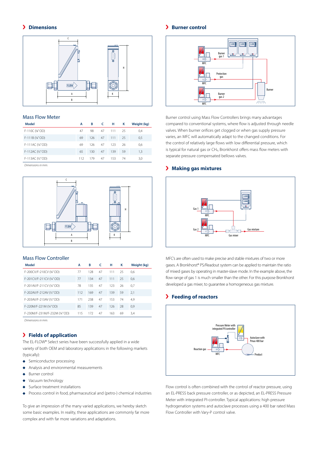# **Dimensions**



# Mass Flow Meter

| Model             | А   | в   | - C | н   | к  | Weight (kg) |
|-------------------|-----|-----|-----|-----|----|-------------|
| F-110C (%"OD)     | 47  | 98  | 47  | 111 | 25 | 0,4         |
| $F-111B (V4''OD)$ | 69  | 126 | 47  | 111 | 25 | 0,5         |
| F-111AC (¼"OD)    | 69  | 126 | 47  | 123 | 26 | 0,6         |
| F-112AC (1/2" OD) | 65  | 130 | 47  | 139 | 59 | 1,3         |
| F-113AC (1/2" OD) | 112 | 179 | 47  | 153 | 74 | 3.0         |

*Dimensions in mm.*



# Mass Flow Controller

| Model                       | A   | в   | c  | н   | к  | Weight (kg) |
|-----------------------------|-----|-----|----|-----|----|-------------|
| F-200CV/F-210CV (1/8" OD)   | 77  | 128 | 47 | 111 | 25 | 0,6         |
| F-201CV/F-211CV (¼"OD)      | 77  | 134 | 47 | 111 | 25 | 0.6         |
| F-201AV/F-211CV (1/4"OD)    | 78  | 135 | 47 | 123 | 26 | 0.7         |
| F-202AV/F-212AV (1/2" OD)   | 112 | 169 | 47 | 139 | 59 | 2,1         |
| F-203AV/F-213AV (1/2" OD)   | 171 | 238 | 47 | 153 | 74 | 4,9         |
| F-220M/F-221M (1/4" OD)     | 85  | 139 | 47 | 126 | 28 | 0,9         |
| F-230M/F-231M/F-232M (¼"OD) | 115 | 172 | 47 | 163 | 69 | 3,4         |
|                             |     |     |    |     |    |             |

*Dimensions in mm.*

# **Fields of application**

The EL-FLOW® Select series have been successfully applied in a wide variety of both OEM and laboratory applications in the following markets (typically):

- $\bullet$ Semiconductor processing
- Analysis and environmental measurements ò
- Burner control  $\blacktriangle$
- Vacuum technology  $\blacktriangle$
- Surface treatment installations
- Process control in food, pharmaceutical and (petro-) chemical industries

To give an impression of the many varied applications, we hereby sketch some basic examples. In reality, these applications are commonly far more complex and with far more variations and adaptations.

# **Burner control**



Burner control using Mass Flow Controllers brings many advantages compared to conventional systems, where flow is adjusted through needle valves. When burner orifices get clogged or when gas supply pressure varies, an MFC will automatically adapt to the changed conditions. For the control of relatively large flows with low differential pressure, which is typical for natural gas or CH<sub>4</sub>, Bronkhorst offers mass flow meters with separate pressure compensated bellows valves.

# **Making gas mixtures**



MFC's are often used to make precise and stable mixtures of two or more gases. A Bronkhorst® PS/Readout system can be applied to maintain the ratio of mixed gases by operating in master-slave mode. In the example above, the flow range of gas 1 is much smaller than the other. For this purpose Bronkhorst developed a gas mixer, to guarantee a homogeneous gas mixture.

# **Feeding of reactors**



Flow control is often combined with the control of reactor pressure, using an EL-PRESS back pressure controller, or as depicted, an EL-PRESS Pressure Meter with integrated PI-controller. Typical applications: high pressure hydrogenation systems and autoclave processes using a 400 bar rated Mass Flow Controller with Vary-P control valve.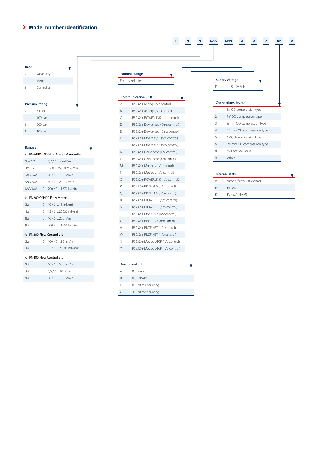# **Model number identification**



G 4…20 mA sourcing